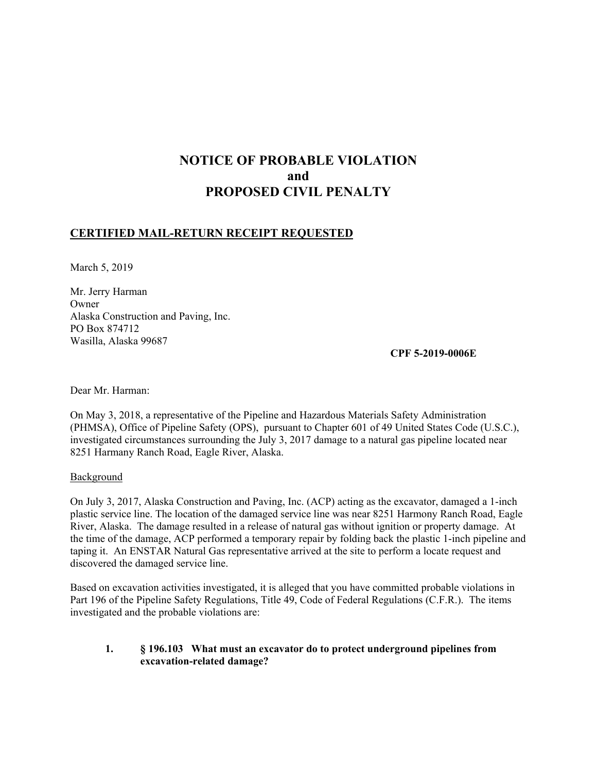# **NOTICE OF PROBABLE VIOLATION and PROPOSED CIVIL PENALTY**

## **CERTIFIED MAIL-RETURN RECEIPT REQUESTED**

March 5, 2019

Mr. Jerry Harman Owner Alaska Construction and Paving, Inc. PO Box 874712 Wasilla, Alaska 99687

**CPF 5-2019-0006E**

Dear Mr. Harman:

On May 3, 2018, a representative of the Pipeline and Hazardous Materials Safety Administration (PHMSA), Office of Pipeline Safety (OPS), pursuant to Chapter 601 of 49 United States Code (U.S.C.), investigated circumstances surrounding the July 3, 2017 damage to a natural gas pipeline located near 8251 Harmany Ranch Road, Eagle River, Alaska.

**Background** 

On July 3, 2017, Alaska Construction and Paving, Inc. (ACP) acting as the excavator, damaged a 1-inch plastic service line. The location of the damaged service line was near 8251 Harmony Ranch Road, Eagle River, Alaska. The damage resulted in a release of natural gas without ignition or property damage. At the time of the damage, ACP performed a temporary repair by folding back the plastic 1-inch pipeline and taping it. An ENSTAR Natural Gas representative arrived at the site to perform a locate request and discovered the damaged service line.

Based on excavation activities investigated, it is alleged that you have committed probable violations in Part 196 of the Pipeline Safety Regulations, Title 49, Code of Federal Regulations (C.F.R.). The items investigated and the probable violations are:

### **1. § 196.103 What must an excavator do to protect underground pipelines from excavation-related damage?**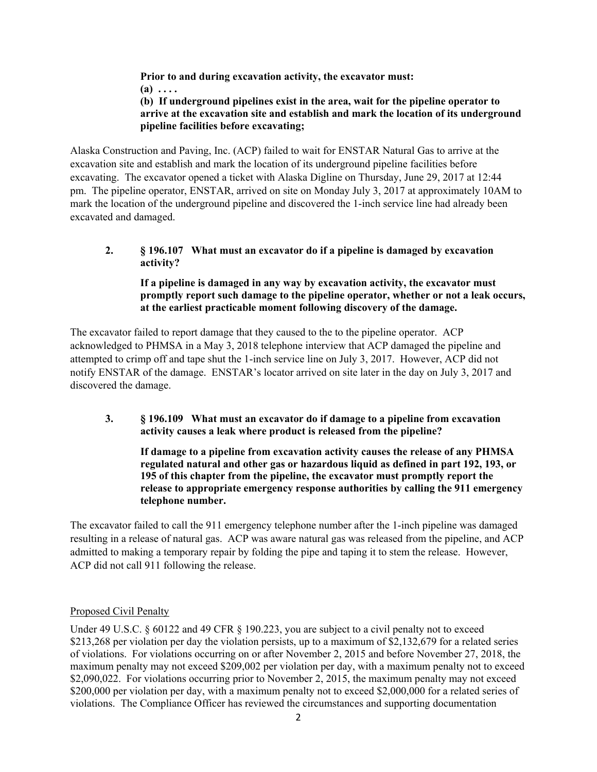**Prior to and during excavation activity, the excavator must: (a) . . . . (b) If underground pipelines exist in the area, wait for the pipeline operator to** 

**arrive at the excavation site and establish and mark the location of its underground pipeline facilities before excavating;**

Alaska Construction and Paving, Inc. (ACP) failed to wait for ENSTAR Natural Gas to arrive at the excavation site and establish and mark the location of its underground pipeline facilities before excavating. The excavator opened a ticket with Alaska Digline on Thursday, June 29, 2017 at 12:44 pm. The pipeline operator, ENSTAR, arrived on site on Monday July 3, 2017 at approximately 10AM to mark the location of the underground pipeline and discovered the 1-inch service line had already been excavated and damaged.

**2. § 196.107 What must an excavator do if a pipeline is damaged by excavation activity?**

**If a pipeline is damaged in any way by excavation activity, the excavator must promptly report such damage to the pipeline operator, whether or not a leak occurs, at the earliest practicable moment following discovery of the damage.** 

The excavator failed to report damage that they caused to the to the pipeline operator. ACP acknowledged to PHMSA in a May 3, 2018 telephone interview that ACP damaged the pipeline and attempted to crimp off and tape shut the 1-inch service line on July 3, 2017. However, ACP did not notify ENSTAR of the damage. ENSTAR's locator arrived on site later in the day on July 3, 2017 and discovered the damage.

**3. § 196.109 What must an excavator do if damage to a pipeline from excavation activity causes a leak where product is released from the pipeline?** 

**If damage to a pipeline from excavation activity causes the release of any PHMSA regulated natural and other gas or hazardous liquid as defined in part 192, 193, or 195 of this chapter from the pipeline, the excavator must promptly report the release to appropriate emergency response authorities by calling the 911 emergency telephone number.**

The excavator failed to call the 911 emergency telephone number after the 1-inch pipeline was damaged resulting in a release of natural gas. ACP was aware natural gas was released from the pipeline, and ACP admitted to making a temporary repair by folding the pipe and taping it to stem the release. However, ACP did not call 911 following the release.

## Proposed Civil Penalty

Under 49 U.S.C. § 60122 and 49 CFR § 190.223, you are subject to a civil penalty not to exceed \$213,268 per violation per day the violation persists, up to a maximum of \$2,132,679 for a related series of violations. For violations occurring on or after November 2, 2015 and before November 27, 2018, the maximum penalty may not exceed \$209,002 per violation per day, with a maximum penalty not to exceed \$2,090,022. For violations occurring prior to November 2, 2015, the maximum penalty may not exceed \$200,000 per violation per day, with a maximum penalty not to exceed \$2,000,000 for a related series of violations. The Compliance Officer has reviewed the circumstances and supporting documentation